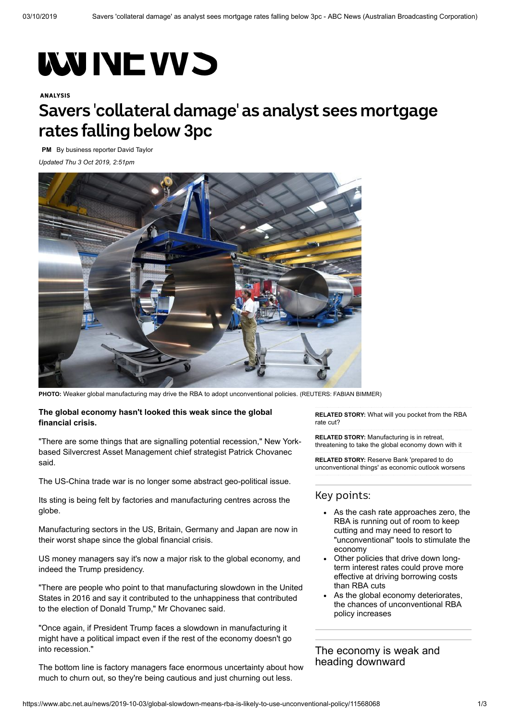# **WWINE VVS**

#### ANALYSIS

# **Savers 'collateral damage' as analyst sees mortgage rates falling below 3pc**

**[PM](https://www.abc.net.au/radio/programs/pm/)** By business reporter [David Taylor](https://www.abc.net.au/news/david-taylor/6529840) *Updated Thu 3 Oct 2019, 2:51pm*



**PHOTO:** [Weaker global manufacturing may drive the RBA to adopt unconventional policies.](https://www.abc.net.au/news/2019-10-03/german-factory-worker-1/11569174) (REUTERS: FABIAN BIMMER)

#### **The global economy hasn't looked this weak since the global financial crisis.**

"There are some things that are signalling potential recession," New Yorkbased Silvercrest Asset Management chief strategist Patrick Chovanec said.

The US-China trade war is no longer some abstract geo-political issue.

Its sting is being felt by factories and manufacturing centres across the globe.

Manufacturing sectors in the US, Britain, Germany and Japan are now in their worst shape since the global financial crisis.

US money managers say it's now a major risk to the global economy, and indeed the Trump presidency.

"There are people who point to that manufacturing slowdown in the United States in 2016 and say it contributed to the unhappiness that contributed to the election of Donald Trump," Mr Chovanec said.

"Once again, if President Trump faces a slowdown in manufacturing it might have a political impact even if the rest of the economy doesn't go into recession."

The bottom line is factory managers face enormous uncertainty about how much to churn out, so they're being cautious and just churning out less.

**RELATED STORY:** [What will you pocket from the RBA](https://www.abc.net.au/news/2019-09-29/full-rba-cut-will-not-be-passed-on-by-banks-what-will-you-get/11547510) rate cut?

**RELATED STORY:** Manufacturing is in retreat, [threatening to take the global economy down with it](https://www.abc.net.au/news/2019-07-21/manufacturing-retreats-threatening-to-take-global-economy-down/11325860)

**RELATED STORY:** Reserve Bank 'prepared to do [unconventional things' as economic outlook worsens](https://www.abc.net.au/news/2019-08-09/reserve-bank-cuts-economic-forecasts-again/11399576)

#### Key points:

- As the cash rate approaches zero, the RBA is running out of room to keep cutting and may need to resort to "unconventional" tools to stimulate the economy
- Other policies that drive down longterm interest rates could prove more effective at driving borrowing costs than RBA cuts
- As the global economy deteriorates, the chances of unconventional RBA policy increases

The economy is weak and heading [downward](https://www.abc.net.au/news/2019-07-01/the-economy-is-weak-and-heading-down-economic-review/11261704)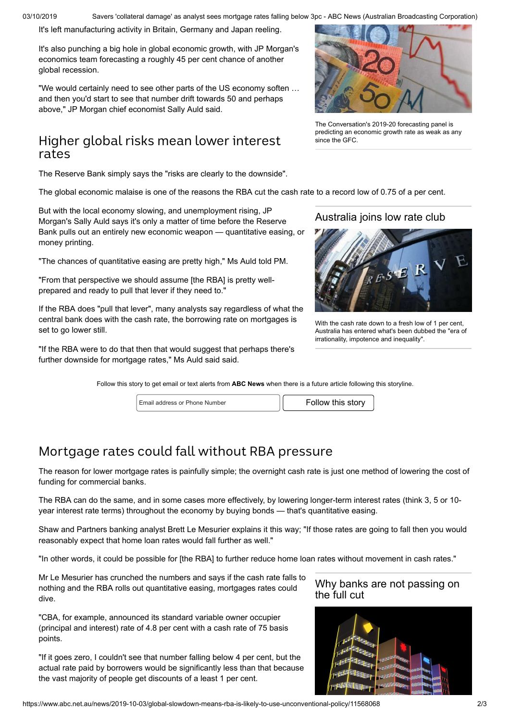03/10/2019 Savers 'collateral damage' as analyst sees mortgage rates falling below 3pc - ABC News (Australian Broadcasting Corporation)

It's left manufacturing activity in Britain, Germany and Japan reeling.

It's also punching a big hole in global economic growth, with JP Morgan's economics team forecasting a roughly 45 per cent chance of another global recession.

"We would certainly need to see other parts of the US economy soften … and then you'd start to see that number drift towards 50 and perhaps above," JP Morgan chief economist Sally Auld said.

### Higher global risks mean lower interest rates

The Reserve Bank simply says the "risks are clearly to the downside".

The global economic malaise is one of the reasons the RBA [cut the cash rate to a record low of 0.75 of a per cent.](https://www.abc.net.au/news/2019-10-01/rba-cuts-rate-to-new-low-of-0.75pc/11562908)

But with the local economy slowing, and unemployment rising, JP Morgan's Sally Auld says it's only a matter of time before the Reserve Bank pulls out an entirely new economic weapon — quantitative easing, or money printing.

"The chances of quantitative easing are pretty high," Ms Auld told PM.

"From that perspective we should assume [the RBA] is pretty wellprepared and ready to pull that lever if they need to."

If the RBA does "pull that lever", many analysts say regardless of what the central bank does with the cash rate, the borrowing rate on mortgages is set to go lower still.

"If the RBA were to do that then that would suggest that perhaps there's further downside for mortgage rates," Ms Auld said said.



The Conversation's 2019-20 forecasting panel is [predicting an economic growth rate as weak as any](https://www.abc.net.au/news/2019-07-01/the-economy-is-weak-and-heading-down-economic-review/11261704) since the GFC.

[Australia](https://www.abc.net.au/news/2019-07-02/interest-rates-at-1pc-may-be-new-for-australia-but-not-overseas/11271268) joins low rate club



With the cash rate down to a fresh low of 1 per cent, [Australia has entered what's been dubbed the "era of](https://www.abc.net.au/news/2019-07-02/interest-rates-at-1pc-may-be-new-for-australia-but-not-overseas/11271268) irrationality, impotence and inequality".

Follow this story to get email or text alerts from **ABC News** when there is a future article following this storyline.

| Fmail address or Phone Number |  | Follow this story |
|-------------------------------|--|-------------------|
|-------------------------------|--|-------------------|

## Mortgage rates could fall without RBA pressure

The reason for lower mortgage rates is painfully simple; the overnight cash rate is just one method of lowering the cost of funding for commercial banks.

The RBA can do the same, and in some cases more effectively, by lowering longer-term interest rates (think 3, 5 or 10 year interest rate terms) throughout the economy by buying bonds — that's quantitative easing.

Shaw and Partners banking analyst Brett Le Mesurier explains it this way; "If those rates are going to fall then you would reasonably expect that home loan rates would fall further as well."

"In other words, it could be possible for [the RBA] to further reduce home loan rates without movement in cash rates."

Mr Le Mesurier has crunched the numbers and says if the cash rate falls to nothing and the RBA rolls out quantitative easing, mortgages rates could dive.

"CBA, for example, announced its standard variable owner occupier (principal and interest) rate of 4.8 per cent with a cash rate of 75 basis points.

"If it goes zero, I couldn't see that number falling below 4 per cent, but the actual rate paid by borrowers would be significantly less than that because the vast majority of people get discounts of a least 1 per cent.

#### Why banks are not [passing](https://www.abc.net.au/news/2019-10-02/interest-rate-cut-not-passed-on-by-banks-in-full-for-good-reason/11565594) on the full cut